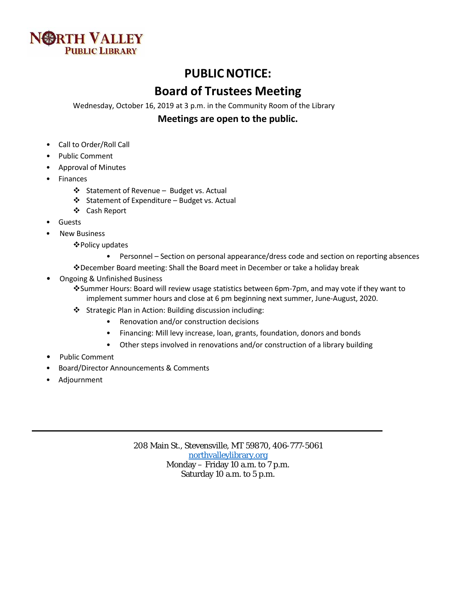

## **PUBLICNOTICE:**

# **Board of Trustees Meeting**

Wednesday, October 16, 2019 at 3 p.m. in the Community Room of the Library

### **Meetings are open to the public.**

- Call to Order/Roll Call
- Public Comment
- Approval of Minutes
- **Finances** 
	- ❖ Statement of Revenue Budget vs. Actual
	- $\triangleleft$  Statement of Expenditure Budget vs. Actual
	- Cash Report
- **Guests**
- **New Business** 
	- Policy updates
		- Personnel Section on personal appearance/dress code and section on reporting absences
	- December Board meeting: Shall the Board meet in December or take a holiday break
- Ongoing & Unfinished Business
	- Summer Hours: Board will review usage statistics between 6pm-7pm, and may vote if they want to implement summer hours and close at 6 pm beginning next summer, June-August, 2020.
	- Strategic Plan in Action: Building discussion including:
		- Renovation and/or construction decisions
		- Financing: Mill levy increase, loan, grants, foundation, donors and bonds
		- Other steps involved in renovations and/or construction of a library building
- Public Comment
- Board/Director Announcements & Comments
- Adjournment

208 Main St., Stevensville, MT 59870, 406-777-5061 [northvalleylibrary.org](http://www.northvalleylibrary.org/) Monday – Friday 10 a.m. to 7 p.m. Saturday 10 a.m. to 5 p.m.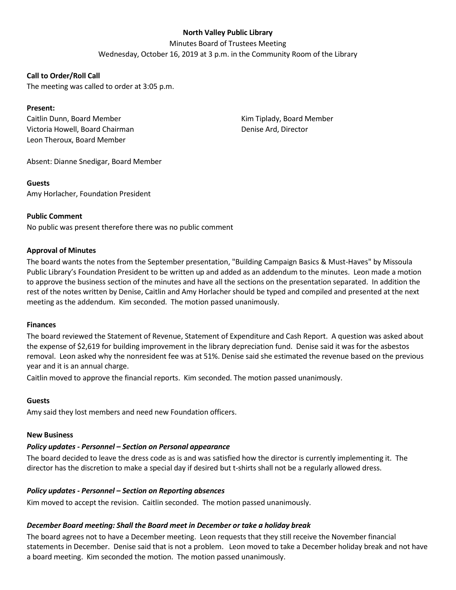### **North Valley Public Library**

Minutes Board of Trustees Meeting

Wednesday, October 16, 2019 at 3 p.m. in the Community Room of the Library

#### **Call to Order/Roll Call**

The meeting was called to order at 3:05 p.m.

#### **Present:**

Caitlin Dunn, Board Member Victoria Howell, Board Chairman Leon Theroux, Board Member

Kim Tiplady, Board Member Denise Ard, Director

Absent: Dianne Snedigar, Board Member

#### **Guests**

Amy Horlacher, Foundation President

#### **Public Comment**

No public was present therefore there was no public comment

#### **Approval of Minutes**

The board wants the notes from the September presentation, "Building Campaign Basics & Must-Haves" by Missoula Public Library's Foundation President to be written up and added as an addendum to the minutes. Leon made a motion to approve the business section of the minutes and have all the sections on the presentation separated. In addition the rest of the notes written by Denise, Caitlin and Amy Horlacher should be typed and compiled and presented at the next meeting as the addendum. Kim seconded. The motion passed unanimously.

#### **Finances**

The board reviewed the Statement of Revenue, Statement of Expenditure and Cash Report. A question was asked about the expense of \$2,619 for building improvement in the library depreciation fund. Denise said it was for the asbestos removal. Leon asked why the nonresident fee was at 51%. Denise said she estimated the revenue based on the previous year and it is an annual charge.

Caitlin moved to approve the financial reports. Kim seconded. The motion passed unanimously.

#### **Guests**

Amy said they lost members and need new Foundation officers.

#### **New Business**

#### *Policy updates - Personnel – Section on Personal appearance*

The board decided to leave the dress code as is and was satisfied how the director is currently implementing it. The director has the discretion to make a special day if desired but t-shirts shall not be a regularly allowed dress.

#### *Policy updates - Personnel – Section on Reporting absences*

Kim moved to accept the revision. Caitlin seconded. The motion passed unanimously.

#### *December Board meeting: Shall the Board meet in December or take a holiday break*

The board agrees not to have a December meeting. Leon requests that they still receive the November financial statements in December. Denise said that is not a problem. Leon moved to take a December holiday break and not have a board meeting. Kim seconded the motion. The motion passed unanimously.